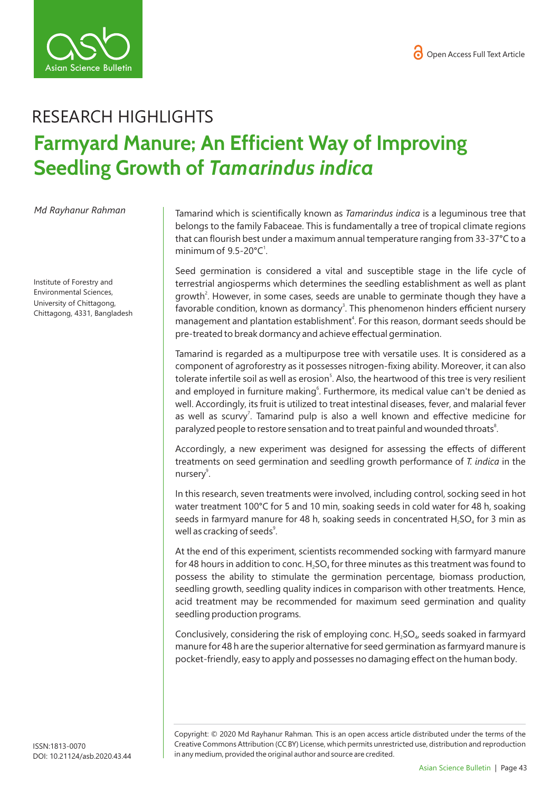



## RESEARCH HIGHLIGHTS **Farmyard Manure; An Efficient Way of Improving Seedling Growth of** *Tamarindus indica*

*Md Rayhanur Rahman* 

Institute of Forestry and Environmental Sciences, University of Chittagong, Chittagong, 4331, Bangladesh Tamarind which is scientifically known as *Tamarindus indica* is a leguminous tree that belongs to the family Fabaceae. This is fundamentally a tree of tropical climate regions that can flourish best under a maximum annual temperature ranging from 33-37°C to a minimum of  $9.5 - 20^{\circ}C^1$ .

Seed germination is considered a vital and susceptible stage in the life cycle of terrestrial angiosperms which determines the seedling establishment as well as plant growth<sup>2</sup>. However, in some cases, seeds are unable to germinate though they have a favorable condition, known as dormancy<sup>3</sup>. This phenomenon hinders efficient nursery management and plantation establishment<sup>4</sup>. For this reason, dormant seeds should be pre-treated to break dormancy and achieve effectual germination.

Tamarind is regarded as a multipurpose tree with versatile uses. It is considered as a component of agroforestry as it possesses nitrogen-fixing ability. Moreover, it can also tolerate infertile soil as well as erosion<sup>5</sup>. Also, the heartwood of this tree is very resilient and employed in furniture making<sup>6</sup>. Furthermore, its medical value can't be denied as well. Accordingly, its fruit is utilized to treat intestinal diseases, fever, and malarial fever as well as scurvy<sup>7</sup>. Tamarind pulp is also a well known and effective medicine for paralyzed people to restore sensation and to treat painful and wounded throats<sup>8</sup>.

Accordingly, a new experiment was designed for assessing the effects of different treatments on seed germination and seedling growth performance of *T. indica* in the nursery<sup>9</sup>.

In this research, seven treatments were involved, including control, socking seed in hot water treatment 100°C for 5 and 10 min, soaking seeds in cold water for 48 h, soaking seeds in farmyard manure for 48 h, soaking seeds in concentrated  $H_2SO_4$  for 3 min as well as cracking of seeds<sup>9</sup>.

At the end of this experiment, scientists recommended socking with farmyard manure for 48 hours in addition to conc.  $H_2SO_4$  for three minutes as this treatment was found to possess the ability to stimulate the germination percentage, biomass production, seedling growth, seedling quality indices in comparison with other treatments*.* Hence, acid treatment may be recommended for maximum seed germination and quality seedling production programs.

Conclusively, considering the risk of employing conc.  $H<sub>2</sub>SO<sub>a</sub>$ , seeds soaked in farmyard manure for 48 h are the superior alternative for seed germination as farmyard manure is pocket-friendly, easy to apply and possesses no damaging effect on the human body.

Copyright: © 2020 Md Rayhanur Rahman*.* This is an open access article distributed under the terms of the Creative Commons Attribution (CC BY) License, which permits unrestricted use, distribution and reproduction in any medium, provided the original author and source are credited.